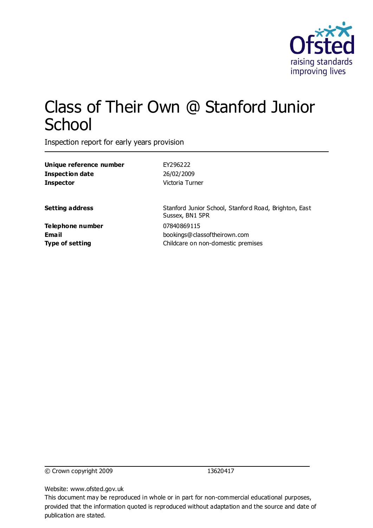

# Class of Their Own @ Stanford Junior **School**

Inspection report for early years provision

| Unique reference number | EY296222                                                                 |  |  |
|-------------------------|--------------------------------------------------------------------------|--|--|
| <b>Inspection date</b>  | 26/02/2009                                                               |  |  |
| <b>Inspector</b>        | Victoria Turner                                                          |  |  |
| <b>Setting address</b>  | Stanford Junior School, Stanford Road, Brighton, East<br>Sussex, BN1 5PR |  |  |
| <b>Telephone number</b> | 07840869115                                                              |  |  |
| <b>Email</b>            | bookings@classoftheirown.com                                             |  |  |
| <b>Type of setting</b>  | Childcare on non-domestic premises                                       |  |  |
|                         |                                                                          |  |  |

© Crown copyright 2009 13620417

Website: www.ofsted.gov.uk

This document may be reproduced in whole or in part for non-commercial educational purposes, provided that the information quoted is reproduced without adaptation and the source and date of publication are stated.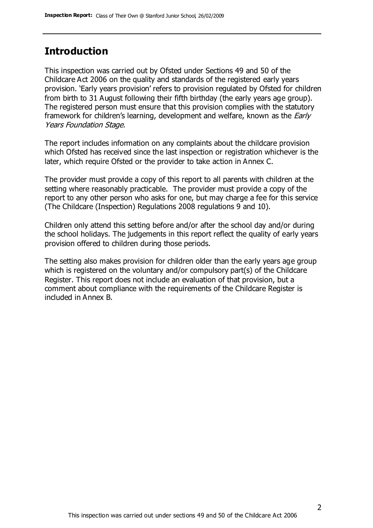### **Introduction**

This inspection was carried out by Ofsted under Sections 49 and 50 of the Childcare Act 2006 on the quality and standards of the registered early years provision. 'Early years provision' refers to provision regulated by Ofsted for children from birth to 31 August following their fifth birthday (the early years age group). The registered person must ensure that this provision complies with the statutory framework for children's learning, development and welfare, known as the *Early* Years Foundation Stage.

The report includes information on any complaints about the childcare provision which Ofsted has received since the last inspection or registration whichever is the later, which require Ofsted or the provider to take action in Annex C.

The provider must provide a copy of this report to all parents with children at the setting where reasonably practicable. The provider must provide a copy of the report to any other person who asks for one, but may charge a fee for this service (The Childcare (Inspection) Regulations 2008 regulations 9 and 10).

Children only attend this setting before and/or after the school day and/or during the school holidays. The judgements in this report reflect the quality of early years provision offered to children during those periods.

The setting also makes provision for children older than the early years age group which is registered on the voluntary and/or compulsory part(s) of the Childcare Register. This report does not include an evaluation of that provision, but a comment about compliance with the requirements of the Childcare Register is included in Annex B.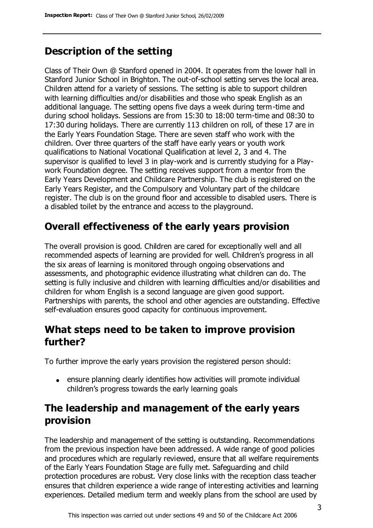## **Description of the setting**

Class of Their Own @ Stanford opened in 2004. It operates from the lower hall in Stanford Junior School in Brighton. The out-of-school setting serves the local area. Children attend for a variety of sessions. The setting is able to support children with learning difficulties and/or disabilities and those who speak English as an additional language. The setting opens five days a week during term-time and during school holidays. Sessions are from 15:30 to 18:00 term-time and 08:30 to 17:30 during holidays. There are currently 113 children on roll, of these 17 are in the Early Years Foundation Stage. There are seven staff who work with the children. Over three quarters of the staff have early years or youth work qualifications to National Vocational Qualification at level 2, 3 and 4. The supervisor is qualified to level 3 in play-work and is currently studying for a Playwork Foundation degree. The setting receives support from a mentor from the Early Years Development and Childcare Partnership. The club is registered on the Early Years Register, and the Compulsory and Voluntary part of the childcare register. The club is on the ground floor and accessible to disabled users. There is a disabled toilet by the entrance and access to the playground.

### **Overall effectiveness of the early years provision**

The overall provision is good. Children are cared for exceptionally well and all recommended aspects of learning are provided for well. Children's progress in all the six areas of learning is monitored through ongoing observations and assessments, and photographic evidence illustrating what children can do. The setting is fully inclusive and children with learning difficulties and/or disabilities and children for whom English is a second language are given good support. Partnerships with parents, the school and other agencies are outstanding. Effective self-evaluation ensures good capacity for continuous improvement.

### **What steps need to be taken to improve provision further?**

To further improve the early years provision the registered person should:

ensure planning clearly identifies how activities will promote individual children's progress towards the early learning goals

# **The leadership and management of the early years provision**

The leadership and management of the setting is outstanding. Recommendations from the previous inspection have been addressed. A wide range of good policies and procedures which are regularly reviewed, ensure that all welfare requirements of the Early Years Foundation Stage are fully met. Safeguarding and child protection procedures are robust. Very close links with the reception class teacher ensures that children experience a wide range of interesting activities and learning experiences. Detailed medium term and weekly plans from the school are used by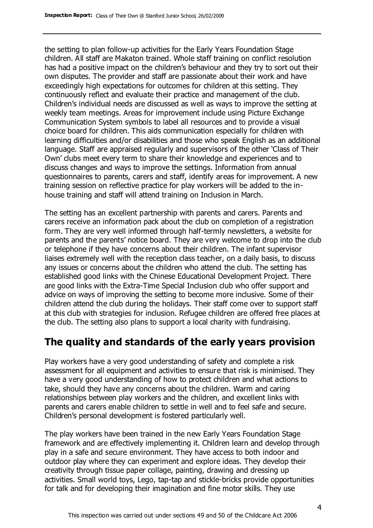the setting to plan follow-up activities for the Early Years Foundation Stage children. All staff are Makaton trained. Whole staff training on conflict resolution has had a positive impact on the children's behaviour and they try to sort out their own disputes. The provider and staff are passionate about their work and have exceedingly high expectations for outcomes for children at this setting. They continuously reflect and evaluate their practice and management of the club. Children's individual needs are discussed as well as ways to improve the setting at weekly team meetings. Areas for improvement include using Picture Exchange Communication System symbols to label all resources and to provide a visual choice board for children. This aids communication especially for children with learning difficulties and/or disabilities and those who speak English as an additional language. Staff are appraised regularly and supervisors of the other 'Class of Their Own' clubs meet every term to share their knowledge and experiences and to discuss changes and ways to improve the settings. Information from annual questionnaires to parents, carers and staff, identify areas for improvement. A new training session on reflective practice for play workers will be added to the inhouse training and staff will attend training on Inclusion in March.

The setting has an excellent partnership with parents and carers. Parents and carers receive an information pack about the club on completion of a registration form. They are very well informed through half-termly newsletters, a website for parents and the parents' notice board. They are very welcome to drop into the club or telephone if they have concerns about their children. The infant supervisor liaises extremely well with the reception class teacher, on a daily basis, to discuss any issues or concerns about the children who attend the club. The setting has established good links with the Chinese Educational Development Project. There are good links with the Extra-Time Special Inclusion club who offer support and advice on ways of improving the setting to become more inclusive. Some of their children attend the club during the holidays. Their staff come over to support staff at this club with strategies for inclusion. Refugee children are offered free places at the club. The setting also plans to support a local charity with fundraising.

### **The quality and standards of the early years provision**

Play workers have a very good understanding of safety and complete a risk assessment for all equipment and activities to ensure that risk is minimised. They have a very good understanding of how to protect children and what actions to take, should they have any concerns about the children. Warm and caring relationships between play workers and the children, and excellent links with parents and carers enable children to settle in well and to feel safe and secure. Children's personal development is fostered particularly well.

The play workers have been trained in the new Early Years Foundation Stage framework and are effectively implementing it. Children learn and develop through play in a safe and secure environment. They have access to both indoor and outdoor play where they can experiment and explore ideas. They develop their creativity through tissue paper collage, painting, drawing and dressing up activities. Small world toys, Lego, tap-tap and stickle-bricks provide opportunities for talk and for developing their imagination and fine motor skills. They use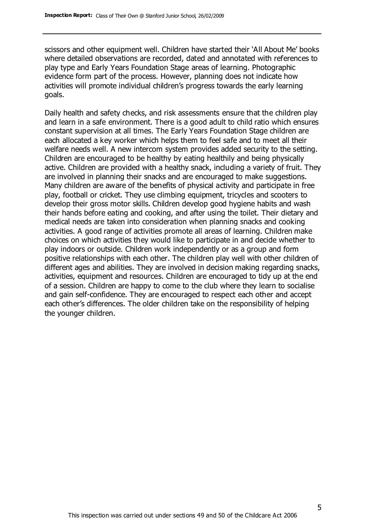scissors and other equipment well. Children have started their 'All About Me' books where detailed observations are recorded, dated and annotated with references to play type and Early Years Foundation Stage areas of learning. Photographic evidence form part of the process. However, planning does not indicate how activities will promote individual children's progress towards the early learning goals.

Daily health and safety checks, and risk assessments ensure that the children play and learn in a safe environment. There is a good adult to child ratio which ensures constant supervision at all times. The Early Years Foundation Stage children are each allocated a key worker which helps them to feel safe and to meet all their welfare needs well. A new intercom system provides added security to the setting. Children are encouraged to be healthy by eating healthily and being physically active. Children are provided with a healthy snack, including a variety of fruit. They are involved in planning their snacks and are encouraged to make suggestions. Many children are aware of the benefits of physical activity and participate in free play, football or cricket. They use climbing equipment, tricycles and scooters to develop their gross motor skills. Children develop good hygiene habits and wash their hands before eating and cooking, and after using the toilet. Their dietary and medical needs are taken into consideration when planning snacks and cooking activities. A good range of activities promote all areas of learning. Children make choices on which activities they would like to participate in and decide whether to play indoors or outside. Children work independently or as a group and form positive relationships with each other. The children play well with other children of different ages and abilities. They are involved in decision making regarding snacks, activities, equipment and resources. Children are encouraged to tidy up at the end of a session. Children are happy to come to the club where they learn to socialise and gain self-confidence. They are encouraged to respect each other and accept each other's differences. The older children take on the responsibility of helping the younger children.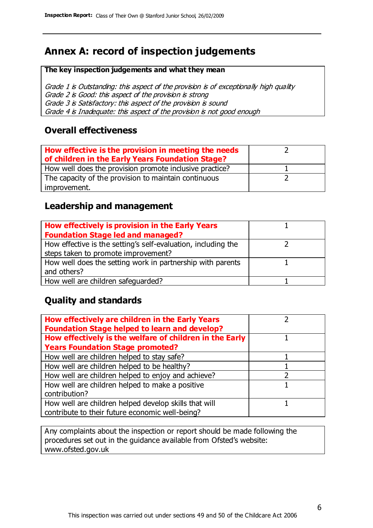# **Annex A: record of inspection judgements**

#### **The key inspection judgements and what they mean**

Grade 1 is Outstanding: this aspect of the provision is of exceptionally high quality Grade 2 is Good: this aspect of the provision is strong Grade 3 is Satisfactory: this aspect of the provision is sound Grade 4 is Inadequate: this aspect of the provision is not good enough

### **Overall effectiveness**

| How effective is the provision in meeting the needs<br>of children in the Early Years Foundation Stage? |  |
|---------------------------------------------------------------------------------------------------------|--|
| How well does the provision promote inclusive practice?                                                 |  |
| The capacity of the provision to maintain continuous                                                    |  |
| improvement.                                                                                            |  |

### **Leadership and management**

| How effectively is provision in the Early Years               |  |
|---------------------------------------------------------------|--|
| <b>Foundation Stage led and managed?</b>                      |  |
| How effective is the setting's self-evaluation, including the |  |
| steps taken to promote improvement?                           |  |
| How well does the setting work in partnership with parents    |  |
| and others?                                                   |  |
| How well are children safequarded?                            |  |

### **Quality and standards**

| How effectively are children in the Early Years<br><b>Foundation Stage helped to learn and develop?</b> |  |
|---------------------------------------------------------------------------------------------------------|--|
| How effectively is the welfare of children in the Early                                                 |  |
| <b>Years Foundation Stage promoted?</b>                                                                 |  |
| How well are children helped to stay safe?                                                              |  |
| How well are children helped to be healthy?                                                             |  |
| How well are children helped to enjoy and achieve?                                                      |  |
| How well are children helped to make a positive                                                         |  |
| contribution?                                                                                           |  |
| How well are children helped develop skills that will                                                   |  |
| contribute to their future economic well-being?                                                         |  |

Any complaints about the inspection or report should be made following the procedures set out in the guidance available from Ofsted's website: www.ofsted.gov.uk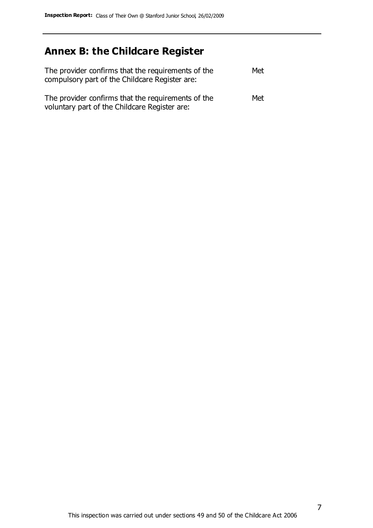# **Annex B: the Childcare Register**

| The provider confirms that the requirements of the<br>compulsory part of the Childcare Register are: | Met |
|------------------------------------------------------------------------------------------------------|-----|
| The provider confirms that the requirements of the<br>voluntary part of the Childcare Register are:  | Met |